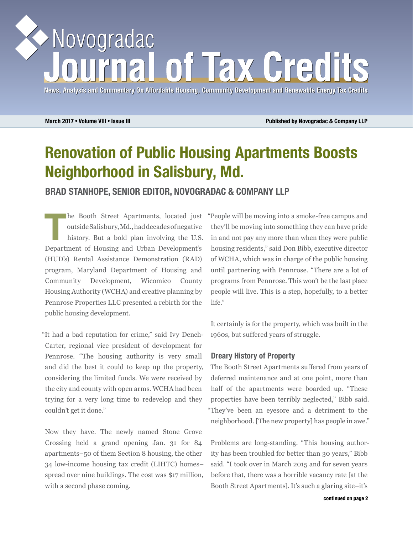# Novogradac of Tax Grec

**News, Analysis and Commentary On Affordable Housing, Community Development and Renewable Energy Tax Credits News, Analysis and Commentary On Affordable Housing, Community Development and Energy Tax Credits**

**March 2017** • **Volume VIII** • **Issue III Published by Novogradac & Company LLP**

## **Renovation of Public Housing Apartments Boosts Neighborhood in Salisbury, Md.**

**BRAD STANHOPE, SENIOR EDITOR, NOVOGRADAC & COMPANY LLP**

**The Booth Street Apartments, located just outside Salisbury, Md., had decades of negative history. But a bold plan involving the U.S.** outside Salisbury, Md., had decades of negative Department of Housing and Urban Development's (HUD's) Rental Assistance Demonstration (RAD) program, Maryland Department of Housing and Community Development, Wicomico County Housing Authority (WCHA) and creative planning by Pennrose Properties LLC presented a rebirth for the public housing development.

"It had a bad reputation for crime," said Ivy Dench-Carter, regional vice president of development for Pennrose. "The housing authority is very small and did the best it could to keep up the property, considering the limited funds. We were received by the city and county with open arms. WCHA had been trying for a very long time to redevelop and they couldn't get it done."

Now they have. The newly named Stone Grove Crossing held a grand opening Jan. 31 for 84 apartments–50 of them Section 8 housing, the other 34 low-income housing tax credit (LIHTC) homes– spread over nine buildings. The cost was \$17 million, with a second phase coming.

"People will be moving into a smoke-free campus and they'll be moving into something they can have pride in and not pay any more than when they were public housing residents," said Don Bibb, executive director of WCHA, which was in charge of the public housing until partnering with Pennrose. "There are a lot of programs from Pennrose. This won't be the last place people will live. This is a step, hopefully, to a better life."

It certainly is for the property, which was built in the 1960s, but suffered years of struggle.

### **Dreary History of Property**

The Booth Street Apartments suffered from years of deferred maintenance and at one point, more than half of the apartments were boarded up. "These properties have been terribly neglected," Bibb said. "They've been an eyesore and a detriment to the neighborhood. [The new property] has people in awe."

Problems are long-standing. "This housing authority has been troubled for better than 30 years," Bibb said. "I took over in March 2015 and for seven years before that, there was a horrible vacancy rate [at the Booth Street Apartments]. It's such a glaring site–it's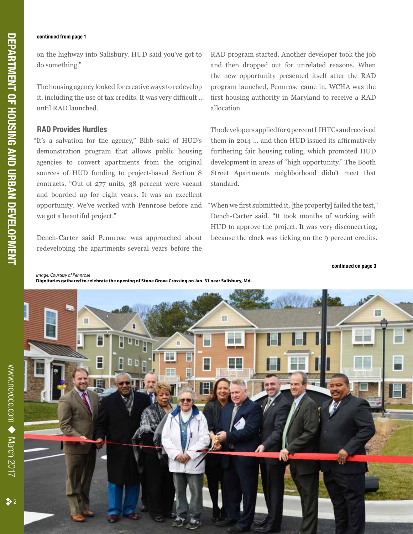# **DEPARTMENT OF HOUSING AND URBAN DEVELOPMENT**

### **continued from page 1**

www.novoco.com

www.novoco.com  $\blacklozenge$  March 2017

March 2017

 $\frac{1}{2}$  2

on the highway into Salisbury. HUD said you've got to do something."

The housing agency looked for creative ways to redevelop it, including the use of tax credits. It was very difficult … until RAD launched.

### **RAD Provides Hurdles**

"It's a salvation for the agency," Bibb said of HUD's demonstration program that allows public housing agencies to convert apartments from the original sources of HUD funding to project-based Section 8 contracts. "Out of 277 units, 38 percent were vacant and boarded up for eight years. It was an excellent opportunity. We've worked with Pennrose before and we got a beautiful project."

Dench-Carter said Pennrose was approached about redeveloping the apartments several years before the RAD program started. Another developer took the job and then dropped out for unrelated reasons. When the new opportunity presented itself after the RAD program launched, Pennrose came in. WCHA was the first housing authority in Maryland to receive a RAD allocation.

The developers applied for 9 percent LIHTCs and received them in 2014 … and then HUD issued its affirmatively furthering fair housing ruling, which promoted HUD development in areas of "high opportunity." The Booth Street Apartments neighborhood didn't meet that standard.

"When we first submitted it, [the property] failed the test," Dench-Carter said. "It took months of working with HUD to approve the project. It was very disconcerting, because the clock was ticking on the 9 percent credits.

**continued on page 3**



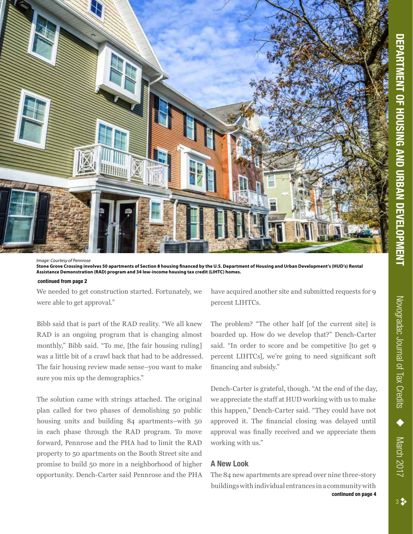

*Image: Courtesy of Pennrose* **Stone Grove Crossing involves 50 apartments of Section 8 housing financed by the U.S. Department of Housing and Urban Development's (HUD's) Rental Assistance Demonstration (RAD) program and 34 low-income housing tax credit (LIHTC) homes.**

### **continued from page 2**

We needed to get construction started. Fortunately, we were able to get approval."

Bibb said that is part of the RAD reality. "We all knew RAD is an ongoing program that is changing almost monthly," Bibb said. "To me, [the fair housing ruling] was a little bit of a crawl back that had to be addressed. The fair housing review made sense–you want to make sure you mix up the demographics."

The solution came with strings attached. The original plan called for two phases of demolishing 50 public housing units and building 84 apartments–with 50 in each phase through the RAD program. To move forward, Pennrose and the PHA had to limit the RAD property to 50 apartments on the Booth Street site and promise to build 50 more in a neighborhood of higher opportunity. Dench-Carter said Pennrose and the PHA have acquired another site and submitted requests for 9 percent LIHTCs.

The problem? "The other half [of the current site] is boarded up. How do we develop that?" Dench-Carter said. "In order to score and be competitive [to get 9 percent LIHTCs], we're going to need significant soft financing and subsidy."

Dench-Carter is grateful, though. "At the end of the day, we appreciate the staff at HUD working with us to make this happen," Dench-Carter said. "They could have not approved it. The financial closing was delayed until approval was finally received and we appreciate them working with us."

### **A New Look**

The 84 new apartments are spread over nine three-story buildings with individual entrances in a community with **continued on page 4** March 2017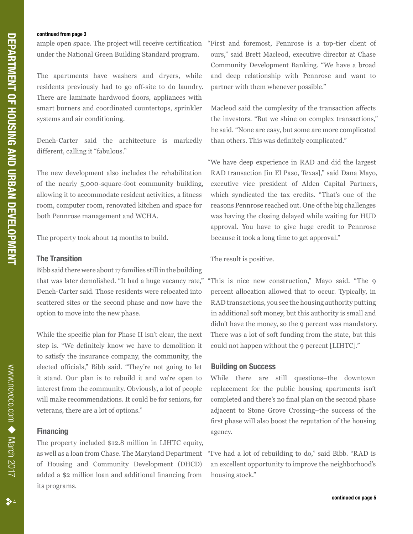### **continued from page 3**

ample open space. The project will receive certification under the National Green Building Standard program.

The apartments have washers and dryers, while residents previously had to go off-site to do laundry. There are laminate hardwood floors, appliances with smart burners and coordinated countertops, sprinkler systems and air conditioning.

Dench-Carter said the architecture is markedly different, calling it "fabulous."

The new development also includes the rehabilitation of the nearly 5,000-square-foot community building, allowing it to accommodate resident activities, a fitness room, computer room, renovated kitchen and space for both Pennrose management and WCHA.

The property took about 14 months to build.

### **The Transition**

Bibb said there were about 17 families still in the building that was later demolished. "It had a huge vacancy rate," Dench-Carter said. Those residents were relocated into scattered sites or the second phase and now have the option to move into the new phase.

While the specific plan for Phase II isn't clear, the next step is. "We definitely know we have to demolition it to satisfy the insurance company, the community, the elected officials," Bibb said. "They're not going to let it stand. Our plan is to rebuild it and we're open to interest from the community. Obviously, a lot of people will make recommendations. It could be for seniors, for veterans, there are a lot of options."

### **Financing**

The property included \$12.8 million in LIHTC equity, as well as a loan from Chase. The Maryland Department of Housing and Community Development (DHCD) added a \$2 million loan and additional financing from its programs.

"First and foremost, Pennrose is a top-tier client of ours," said Brett Macleod, executive director at Chase Community Development Banking. "We have a broad and deep relationship with Pennrose and want to partner with them whenever possible."

Macleod said the complexity of the transaction affects the investors. "But we shine on complex transactions," he said. "None are easy, but some are more complicated than others. This was definitely complicated."

"We have deep experience in RAD and did the largest RAD transaction [in El Paso, Texas]," said Dana Mayo, executive vice president of Alden Capital Partners, which syndicated the tax credits. "That's one of the reasons Pennrose reached out. One of the big challenges was having the closing delayed while waiting for HUD approval. You have to give huge credit to Pennrose because it took a long time to get approval."

The result is positive.

"This is nice new construction," Mayo said. "The 9 percent allocation allowed that to occur. Typically, in RAD transactions, you see the housing authority putting in additional soft money, but this authority is small and didn't have the money, so the 9 percent was mandatory. There was a lot of soft funding from the state, but this could not happen without the 9 percent [LIHTC]."

### **Building on Success**

While there are still questions–the downtown replacement for the public housing apartments isn't completed and there's no final plan on the second phase adjacent to Stone Grove Crossing–the success of the first phase will also boost the reputation of the housing agency.

"I've had a lot of rebuilding to do," said Bibb. "RAD is an excellent opportunity to improve the neighborhood's housing stock."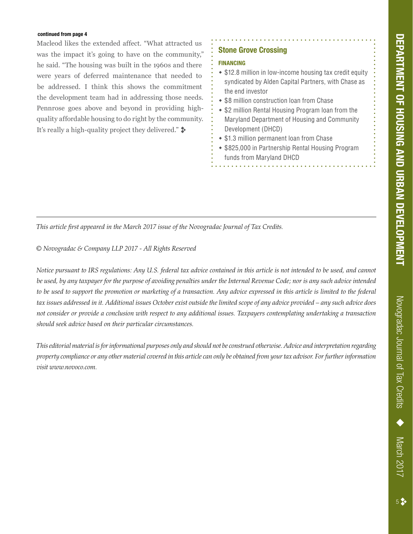### **continued from page 4**

Macleod likes the extended affect. "What attracted us was the impact it's going to have on the community," he said. "The housing was built in the 1960s and there were years of deferred maintenance that needed to be addressed. I think this shows the commitment the development team had in addressing those needs. Pennrose goes above and beyond in providing highquality affordable housing to do right by the community. It's really a high-quality project they delivered."  $\ast$ 

### **Stone Grove Crossing**

### **FINANCING**

- $\div$  \$12.8 million in low-income housing tax credit equity syndicated by Alden Capital Partners, with Chase as the end investor
- **\* \$8 million construction loan from Chase**
- \$2 million Rental Housing Program loan from the Maryland Department of Housing and Community Development (DHCD)
- \$1.3 million permanent loan from Chase
- \$825,000 in Partnership Rental Housing Program funds from Maryland DHCD

*This article first appeared in the March 2017 issue of the Novogradac Journal of Tax Credits.* 

*© Novogradac & Company LLP 2017 - All Rights Reserved*

*Notice pursuant to IRS regulations: Any U.S. federal tax advice contained in this article is not intended to be used, and cannot be used, by any taxpayer for the purpose of avoiding penalties under the Internal Revenue Code; nor is any such advice intended to be used to support the promotion or marketing of a transaction. Any advice expressed in this article is limited to the federal tax issues addressed in it. Additional issues October exist outside the limited scope of any advice provided – any such advice does not consider or provide a conclusion with respect to any additional issues. Taxpayers contemplating undertaking a transaction should seek advice based on their particular circumstances.* 

*This editorial material is for informational purposes only and should not be construed otherwise. Advice and interpretation regarding property compliance or any other material covered in this article can only be obtained from your tax advisor. For further information visit www.novoco.com.*

Novogradac Journal of Tax Credits